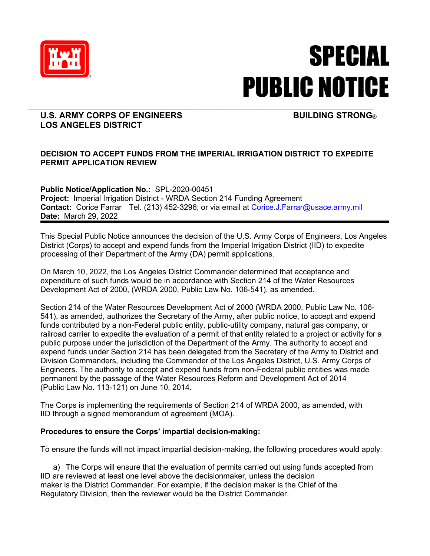

## SPECIAL PUBLIC NOTICE

## **U.S. ARMY CORPS OF ENGINEERS BUILDING STRONG® LOS ANGELES DISTRICT**

## **DECISION TO ACCEPT FUNDS FROM THE IMPERIAL IRRIGATION DISTRICT TO EXPEDITE PERMIT APPLICATION REVIEW**

**Public Notice/Application No.:** SPL-2020-00451 **Project:** Imperial Irrigation District - WRDA Section 214 Funding Agreement **Contact:** Corice Farrar Tel. (213) 452-3296; or via email at Corice.J.Farrar@usace.army.mil **Date:** March 29, 2022

This Special Public Notice announces the decision of the U.S. Army Corps of Engineers, Los Angeles District (Corps) to accept and expend funds from the Imperial Irrigation District (IID) to expedite processing of their Department of the Army (DA) permit applications.

On March 10, 2022, the Los Angeles District Commander determined that acceptance and expenditure of such funds would be in accordance with Section 214 of the Water Resources Development Act of 2000, (WRDA 2000, Public Law No. 106-541), as amended.

Section 214 of the Water Resources Development Act of 2000 (WRDA 2000, Public Law No. 106- 541), as amended, authorizes the Secretary of the Army, after public notice, to accept and expend funds contributed by a non-Federal public entity, public-utility company, natural gas company, or railroad carrier to expedite the evaluation of a permit of that entity related to a project or activity for a public purpose under the jurisdiction of the Department of the Army. The authority to accept and expend funds under Section 214 has been delegated from the Secretary of the Army to District and Division Commanders, including the Commander of the Los Angeles District, U.S. Army Corps of Engineers. The authority to accept and expend funds from non-Federal public entities was made permanent by the passage of the Water Resources Reform and Development Act of 2014 (Public Law No. 113-121) on June 10, 2014.

The Corps is implementing the requirements of Section 214 of WRDA 2000, as amended, with IID through a signed memorandum of agreement (MOA).

## **Procedures to ensure the Corps' impartial decision-making:**

To ensure the funds will not impact impartial decision-making, the following procedures would apply:

a) The Corps will ensure that the evaluation of permits carried out using funds accepted from IID are reviewed at least one level above the decisionmaker, unless the decision maker is the District Commander. For example, if the decision maker is the Chief of the Regulatory Division, then the reviewer would be the District Commander.